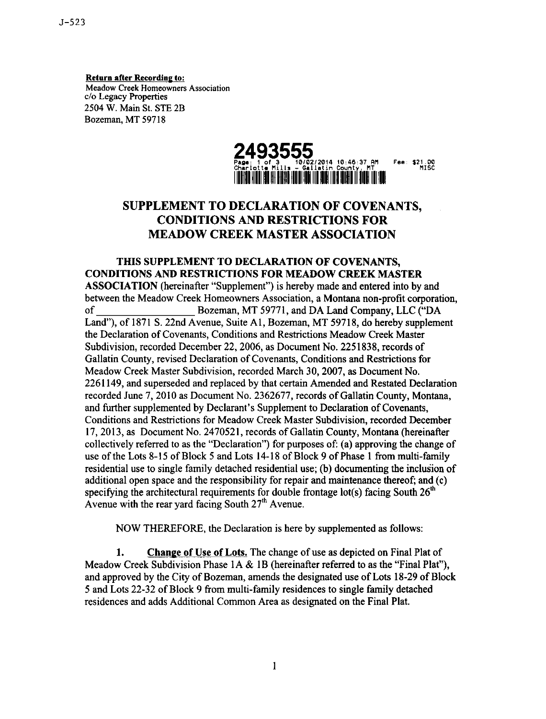**Return after Recording to: Meadow Creek Homeowners Association c/oLegacy Properties 2504 W. Main St.STE 2B Bozeman, MT 59718**



## **SUPPLEMENT TO DECLARATION OF COVENANTS, CONDITIONS AND RESTRICTIONS FOR MEADOW CREEK MASTER ASSOCIATION**

**THIS SUPPLEMENT TO DECLARATION OF COVENANTS, CONDITIONS AND RESTRICTIONS FOR MEADOW CREEK MASTER ASSOCIATION (hereinafter"Supplement") ishereby made and enteredintoby and between the Meadow Creek Homeowners Association, a Montana non-profit corporation,**<br>of Bozeman. MT 59771, and DA Land Company. LLC ("DA **of Bozeman, MT 59771, and DA Land Company, LLC ("DA Land"),of 1871 S.22nd Avenue, SuiteAl, Bozeman, MT 59718, do hereby supplement theDeclarationof Covenants,Conditionsand RestrictionsMeadow Creek Master Subdivision,recordedDecember 22,2006, as Document No. 2251838, recordsof GallatinCounty, revisedDeclarationof Covenants,Conditionsand Restrictionsfor Meadow Creek Master Subdivision, recorded March 30, 2007, as Document No. 2261149, and supersededand replacedby thatcertainAmended and RestatedDeclaration recordedJune 7,2010 as Document No. 2362677, recordsof GallatinCounty, Montana,** and further supplemented by Declarant's Supplement to Declaration of Covenants, **Conditions and Restrictions for Meadow Creek Master Subdivision, recorded December 17,2013, as Document No. 2470521, recordsof GallatinCounty, Montana (hereinafter** collectively referred to as the "Declaration") for purposes of: (a) approving the change of **use of theLots 8-15 of Block 5 and Lots 14-18 of Block 9 of Phase I from multi-finnily residential use to single family detached residential use; (b) documenting the inclusion of** additional open space and the responsibility for repair and maintenance thereof; and (c) specifying the architectural requirements for double frontage lot(s) facing South  $26<sup>th</sup>$ Avenue with the rear yard facing South 27<sup>th</sup> Avenue.

**NOW THEREFORE, theDeclarationishere by supplemented as follows:**

**1. Change of Use of Lots.The change of use as depictedon FinalPlatof Meadow** Creek Subdivision Phase 1A & 1B (hereinafter referred to as the "Final Plat"), **and approved by theCityof Bozeman, amends thedesignateduse of Lots 18-29of Block 5 and Lots 22-32 of Block 9 from multi-familyresidencesto singlefinnilydetached residences and adds Additional Common Area as designated on the Final Plat.**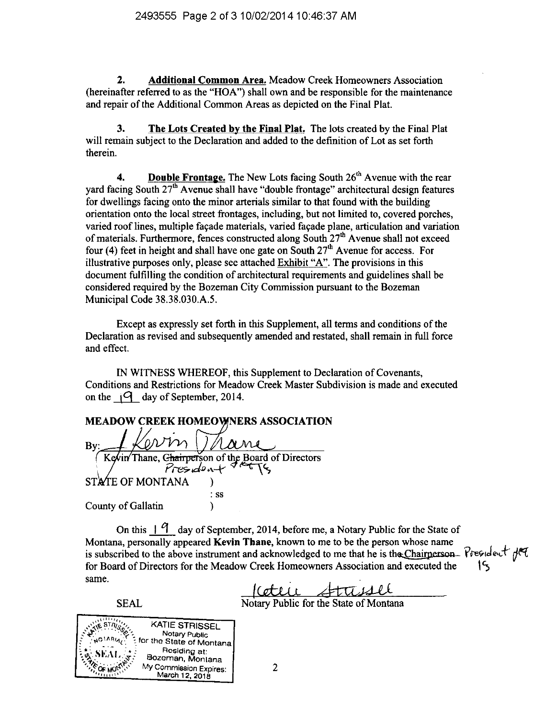**Additional Common Area.** Meadow Creek Homeowners Association 2. (hereinafter referred to as the "HOA") shall own and be responsible for the maintenance and repair of the Additional Common Areas as depicted on the Final Plat.

 $\mathbf{3}$ The Lots Created by the Final Plat. The lots created by the Final Plat will remain subject to the Declaration and added to the definition of Lot as set forth therein.

**Double Frontage.** The New Lots facing South 26<sup>th</sup> Avenue with the rear  $\overline{\mathbf{4}}$ yard facing South  $27<sup>th</sup>$  Avenue shall have "double frontage" architectural design features for dwellings facing onto the minor arterials similar to that found with the building orientation onto the local street frontages, including, but not limited to, covered porches, varied roof lines, multiple facade materials, varied facade plane, articulation and variation of materials. Furthermore, fences constructed along South 27<sup>th</sup> Avenue shall not exceed four (4) feet in height and shall have one gate on South  $27<sup>th</sup>$  Avenue for access. For illustrative purposes only, please see attached Exhibit "A". The provisions in this document fulfilling the condition of architectural requirements and guidelines shall be considered required by the Bozeman City Commission pursuant to the Bozeman Municipal Code 38.38.030.A.5.

Except as expressly set forth in this Supplement, all terms and conditions of the Declaration as revised and subsequently amended and restated, shall remain in full force and effect.

IN WITNESS WHEREOF, this Supplement to Declaration of Covenants, Conditions and Restrictions for Meadow Creek Master Subdivision is made and executed on the  $\sqrt{9}$  day of September, 2014.

## **MEADOW CREEK HOMEOWNERS ASSOCIATION**

 $By:$ Thane, Chairperson of the Board of Directors<br>  $Pres_{1}d\circ \cdots \leftarrow 1$ Kevin STATE OF MONTANA  $:$  SS **County of Gallatin**  $\lambda$ 

On this  $\vert \varphi \vert$  day of September, 2014, before me, a Notary Public for the State of Montana, personally appeared Kevin Thane, known to me to be the person whose name is subscribed to the above instrument and acknowledged to me that he is the Chairperson. President for Board of Directors for the Meadow Creek Homeowners Association and executed the same.

Cettie Attisale

**SEAL**